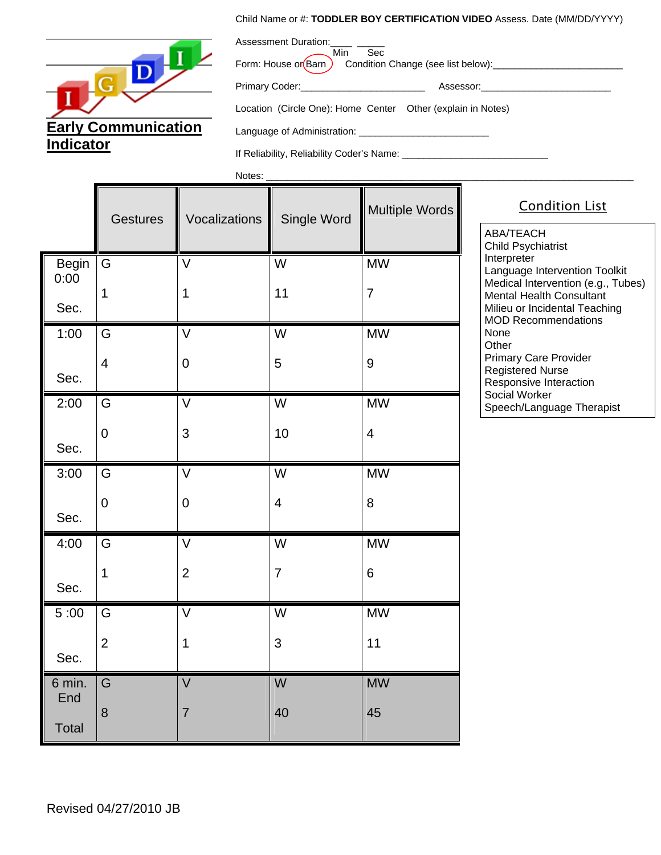## Child Name or #: **TODDLER BOY CERTIFICATION VIDEO** Assess. Date (MM/DD/YYYY)



| Assessment Duration: ____ ___<br>Sec<br>Min Sec<br>Form: House or Barn Condition Change (see list below):__________________________ |                                                                                                                |  |
|-------------------------------------------------------------------------------------------------------------------------------------|----------------------------------------------------------------------------------------------------------------|--|
|                                                                                                                                     | Assessor: when the contract of the contract of the contract of the contract of the contract of the contract of |  |
| Location (Circle One): Home Center Other (explain in Notes)                                                                         |                                                                                                                |  |
|                                                                                                                                     |                                                                                                                |  |

 $\blacksquare$ 

If Reliability, Reliability Coder's Name: \_\_\_\_\_\_\_\_\_\_\_\_\_\_\_\_\_\_\_\_\_\_\_\_\_\_\_

Notes: \_\_\_\_\_\_\_\_\_\_\_\_\_\_\_\_\_\_\_\_\_\_\_\_\_\_\_\_\_\_\_\_\_\_\_\_\_\_\_\_\_\_\_\_\_\_\_\_\_\_\_\_\_\_\_\_\_\_\_\_\_\_\_\_\_\_\_\_

T

|                      | <b>Gestures</b> | Vocalizations           | Single Word             | Multiple Words |
|----------------------|-----------------|-------------------------|-------------------------|----------------|
| <b>Begin</b><br>0:00 | G               | $\overline{\mathsf{V}}$ | $\overline{W}$          | <b>MW</b>      |
| Sec.                 | 1               | 1                       | 11                      | $\overline{7}$ |
| 1:00                 | G               | $\overline{\vee}$       | W                       | <b>MW</b>      |
| Sec.                 | $\overline{4}$  | $\overline{0}$          | 5                       | 9              |
| 2:00                 | G               | V                       | W                       | <b>MW</b>      |
| Sec.                 | $\overline{0}$  | 3                       | 10                      | $\overline{4}$ |
| 3:00                 | G               | $\overline{\mathsf{V}}$ | $\overline{W}$          | <b>MW</b>      |
| Sec.                 | $\mathbf 0$     | $\mathbf 0$             | $\overline{\mathbf{4}}$ | 8              |
| 4:00                 | G               | $\overline{\mathsf{V}}$ | $\overline{W}$          | <b>MW</b>      |
| Sec.                 | $\mathbf 1$     | $\overline{2}$          | $\overline{7}$          | 6              |
| 5:00                 | G               | $\overline{\mathsf{V}}$ | W                       | <b>MW</b>      |
| Sec.                 | $\overline{2}$  | 1                       | 3                       | 11             |
| 6 min.<br>End        | G               | V                       | W                       | <b>MW</b>      |
| <b>Total</b>         | 8               | $\overline{7}$          | 40                      | 45             |

Condition List

ABA/TEACH Child Psychiatrist Interpreter Language Intervention Toolkit Medical Intervention (e.g., Tubes) Mental Health Consultant Milieu or Incidental Teaching MOD Recommendations None **Other** Primary Care Provider Registered Nurse Responsive Interaction Social Worker Speech/Language Therapist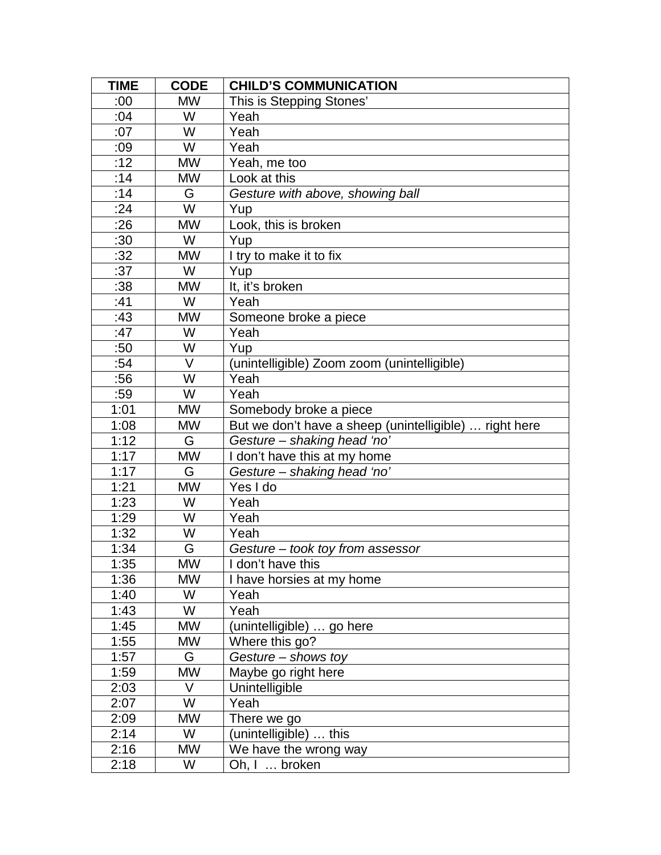| <b>TIME</b> | <b>CODE</b> | <b>CHILD'S COMMUNICATION</b>                           |
|-------------|-------------|--------------------------------------------------------|
| :00         | <b>MW</b>   | This is Stepping Stones'                               |
| :04         | W           | Yeah                                                   |
| :07         | W           | Yeah                                                   |
| :09         | W           | Yeah                                                   |
| :12         | <b>MW</b>   | Yeah, me too                                           |
| :14         | <b>MW</b>   | Look at this                                           |
| :14         | G           | Gesture with above, showing ball                       |
| :24         | W           | Yup                                                    |
| :26         | <b>MW</b>   | Look, this is broken                                   |
| :30         | W           | Yup                                                    |
| :32         | <b>MW</b>   | I try to make it to fix                                |
| :37         | W           | Yup                                                    |
| :38         | <b>MW</b>   | It, it's broken                                        |
| :41         | W           | Yeah                                                   |
| :43         | <b>MW</b>   | Someone broke a piece                                  |
| :47         | W           | Yeah                                                   |
| :50         | W           | Yup                                                    |
| :54         | V           | unintelligible) Zoom zoom (unintelligible)             |
| :56         | W           | Yeah                                                   |
| :59         | W           | Yeah                                                   |
| 1:01        | <b>MW</b>   | Somebody broke a piece                                 |
| 1:08        | <b>MW</b>   | But we don't have a sheep (unintelligible)  right here |
| 1:12        | G           | Gesture - shaking head 'no'                            |
| 1:17        | <b>MW</b>   | I don't have this at my home                           |
| 1:17        | G           | Gesture - shaking head 'no'                            |
| 1:21        | <b>MW</b>   | Yes I do                                               |
| 1:23        | W           | Yeah                                                   |
| 1:29        | W           | Yeah                                                   |
| 1:32        | W           | Yeah                                                   |
| 1:34        | G           | Gesture – took toy from assessor                       |
| 1:35        | <b>MW</b>   | I don't have this                                      |
| 1:36        | <b>MW</b>   | I have horsies at my home                              |
| 1:40        | W           | Yeah                                                   |
| 1:43        | W           | Yeah                                                   |
| 1:45        | <b>MW</b>   | (unintelligible)  go here                              |
| 1:55        | MW          | Where this go?                                         |
| 1:57        | G           | Gesture - shows toy                                    |
| 1:59        | <b>MW</b>   | Maybe go right here                                    |
| 2:03        | V           | Unintelligible                                         |
| 2:07        | W           | Yeah                                                   |
| 2:09        | MW          | There we go                                            |
| 2:14        | W           | (unintelligible)  this                                 |
| 2:16        | <b>MW</b>   | We have the wrong way                                  |
| 2:18        | W           | Oh, I  broken                                          |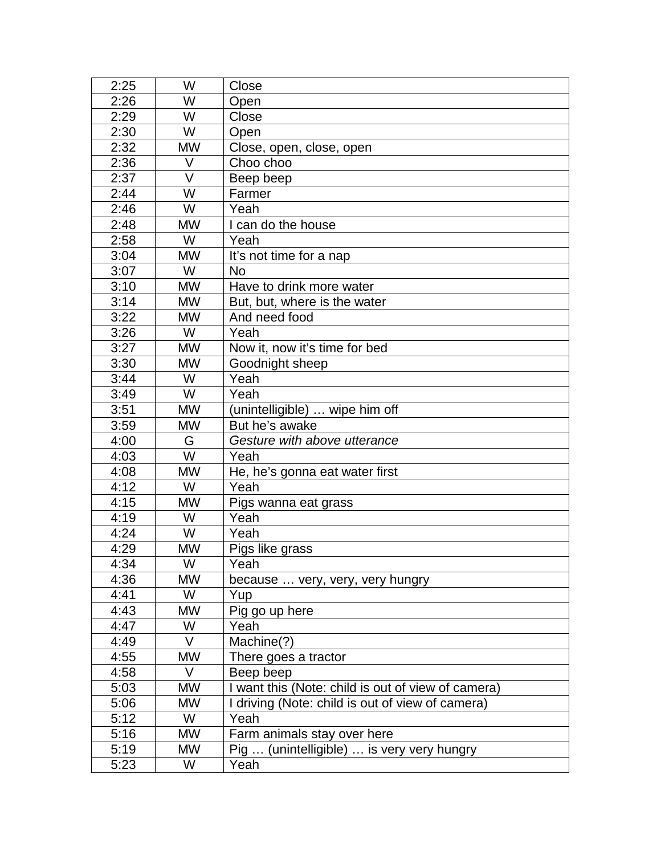| 2:25 | W         | Close                                            |
|------|-----------|--------------------------------------------------|
| 2:26 | W         | Open                                             |
| 2:29 | W         | Close                                            |
| 2:30 | W         | Open                                             |
| 2:32 | <b>MW</b> | Close, open, close, open                         |
| 2:36 | V         | Choo choo                                        |
| 2:37 | V         | Beep beep                                        |
| 2:44 | W         | Farmer                                           |
| 2:46 | W         | Yeah                                             |
| 2:48 | <b>MW</b> | I can do the house                               |
| 2:58 | W         | Yeah                                             |
| 3:04 | <b>MW</b> | It's not time for a nap                          |
| 3:07 | W         | <b>No</b>                                        |
| 3:10 | <b>MW</b> | Have to drink more water                         |
| 3:14 | <b>MW</b> | But, but, where is the water                     |
| 3:22 | <b>MW</b> | And need food                                    |
| 3:26 | W         | Yeah                                             |
| 3:27 | <b>MW</b> | Now it, now it's time for bed                    |
| 3:30 | <b>MW</b> | Goodnight sheep                                  |
| 3:44 | W         | Yeah                                             |
| 3:49 | W         | Yeah                                             |
| 3:51 | <b>MW</b> | (unintelligible)  wipe him off                   |
| 3:59 | <b>MW</b> | But he's awake                                   |
| 4:00 | G         | Gesture with above utterance                     |
| 4:03 | W         | Yeah                                             |
| 4:08 | <b>MW</b> | He, he's gonna eat water first                   |
| 4:12 | W         | Yeah                                             |
| 4:15 | <b>MW</b> | Pigs wanna eat grass                             |
| 4:19 | W         | Yeah                                             |
| 4:24 | W         | Yeah                                             |
| 4:29 | <b>MW</b> | Pigs like grass                                  |
| 4:34 | W         | Yeah                                             |
| 4:36 | MW        | because  very, very, very hungry                 |
| 4:41 | W         | Yup                                              |
| 4:43 | MW        | Pig go up here                                   |
| 4:47 | W         | Yeah                                             |
| 4:49 | V         | Machine(?)                                       |
| 4:55 | <b>MW</b> | There goes a tractor                             |
| 4:58 | V         | Beep beep                                        |
| 5:03 | <b>MW</b> | want this (Note: child is out of view of camera) |
| 5:06 | <b>MW</b> | driving (Note: child is out of view of camera)   |
| 5:12 | W         | Yeah                                             |
| 5:16 | <b>MW</b> | Farm animals stay over here                      |
| 5:19 | <b>MW</b> | Pig  (unintelligible)  is very very hungry       |
| 5:23 | W         | Yeah                                             |